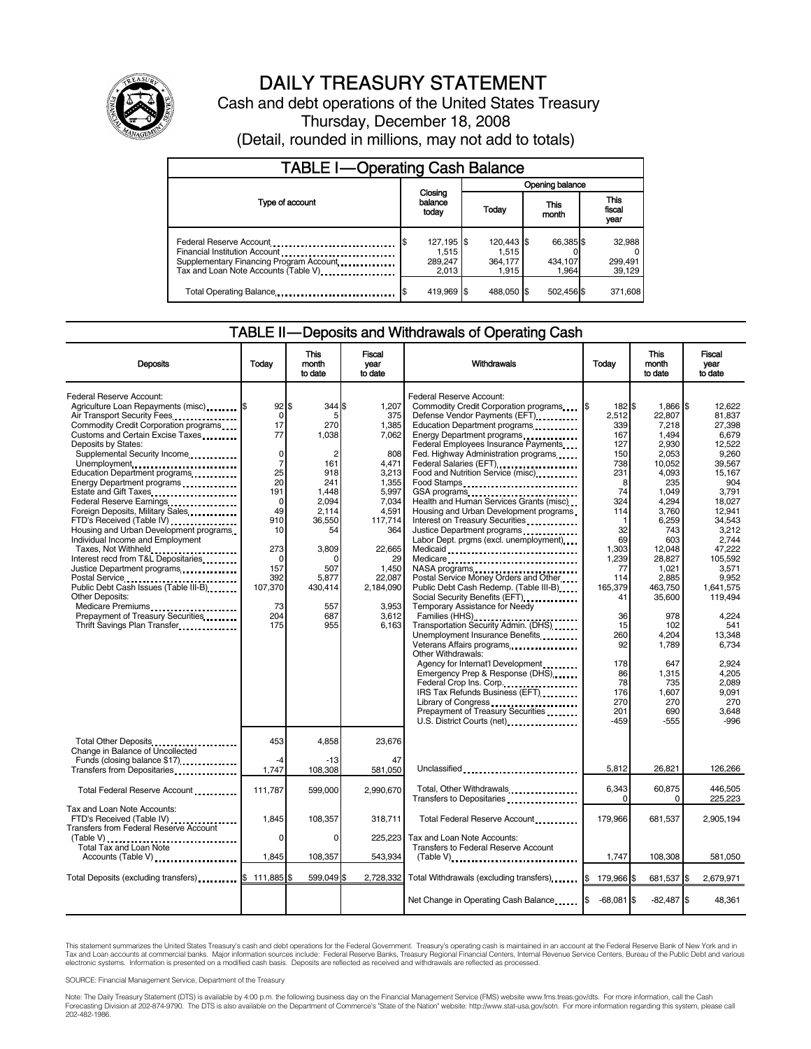

# DAILY TREASURY STATEMENT

Cash and debt operations of the United States Treasury Thursday, December 18, 2008 (Detail, rounded in millions, may not add to totals)

| <b>TABLE I-Operating Cash Balance</b>                                             |                                         |                                         |                               |                             |  |  |  |
|-----------------------------------------------------------------------------------|-----------------------------------------|-----------------------------------------|-------------------------------|-----------------------------|--|--|--|
|                                                                                   | Opening balance                         |                                         |                               |                             |  |  |  |
| Type of account                                                                   | Closing<br>balance<br>today             | Today                                   | This<br>month                 | This<br>fiscal<br>year      |  |  |  |
| Supplementary Financing Program Account.<br>Tax and Loan Note Accounts (Table V). | 127,195 \$<br>1,515<br>289,247<br>2.013 | 120,443 \$<br>1.515<br>364,177<br>1.915 | 66,385 \$<br>434,107<br>1.964 | 32,988<br>299,491<br>39,129 |  |  |  |
| Total Operating Balance                                                           | 419,969 \$                              | 488.050 \$                              | 502,456 \$                    | 371,608                     |  |  |  |

#### TABLE II — Deposits and Withdrawals of Operating Cash

| <b>Deposits</b>                                                                                                                                                                                                                                                                                                                                                                                                                                                                                                                                                                                                                                                                                                                                                                             | Todav                                                                                                                                                            | This<br>month<br>to date                                                                                                                                                    | Fiscal<br>year<br>to date                                                                                                                                                                | Withdrawals                                                                                                                                                                                                                                                                                                                                                                                                                                                                                                                                                                                                                                                                                                                                                                                                                                                                                                                                                                                                       | Today                                                                                                                                                                                                                     | This<br>month<br>to date                                                                                                                                                                                                                                                            | Fiscal<br>vear<br>to date                                                                                                                                                                                                                                                                                  |
|---------------------------------------------------------------------------------------------------------------------------------------------------------------------------------------------------------------------------------------------------------------------------------------------------------------------------------------------------------------------------------------------------------------------------------------------------------------------------------------------------------------------------------------------------------------------------------------------------------------------------------------------------------------------------------------------------------------------------------------------------------------------------------------------|------------------------------------------------------------------------------------------------------------------------------------------------------------------|-----------------------------------------------------------------------------------------------------------------------------------------------------------------------------|------------------------------------------------------------------------------------------------------------------------------------------------------------------------------------------|-------------------------------------------------------------------------------------------------------------------------------------------------------------------------------------------------------------------------------------------------------------------------------------------------------------------------------------------------------------------------------------------------------------------------------------------------------------------------------------------------------------------------------------------------------------------------------------------------------------------------------------------------------------------------------------------------------------------------------------------------------------------------------------------------------------------------------------------------------------------------------------------------------------------------------------------------------------------------------------------------------------------|---------------------------------------------------------------------------------------------------------------------------------------------------------------------------------------------------------------------------|-------------------------------------------------------------------------------------------------------------------------------------------------------------------------------------------------------------------------------------------------------------------------------------|------------------------------------------------------------------------------------------------------------------------------------------------------------------------------------------------------------------------------------------------------------------------------------------------------------|
| Federal Reserve Account:<br>Agriculture Loan Repayments (misc) <b>S</b><br>Air Transport Security Fees<br>Commodity Credit Corporation programs<br>Customs and Certain Excise Taxes<br>Deposits by States:<br>Supplemental Security Income<br>Unemployment<br>Education Department programs<br>Energy Department programs<br>Estate and Gift Taxes<br><br>Federal Reserve Earnings<br>Foreign Deposits, Military Sales<br>FTD's Received (Table IV)<br>Housing and Urban Development programs<br>Individual Income and Employment<br>Taxes, Not Withheld<br>Interest recd from T&L Depositaries<br>Justice Department programs<br>Public Debt Cash Issues (Table III-B)<br><b>Other Deposits:</b><br>Medicare Premiums<br>Prepayment of Treasury Securities<br>Thrift Savings Plan Transfer | 92S<br>0<br>17<br>77<br>0<br>$\overline{7}$<br>25<br>20<br>191<br>$\mathbf 0$<br>49<br>910<br>10<br>273<br>$\Omega$<br>157<br>392<br>107,370<br>73<br>204<br>175 | 344 \$<br>5<br>270<br>1,038<br>$\overline{2}$<br>161<br>918<br>241<br>1,448<br>2,094<br>2.114<br>36,550<br>54<br>3.809<br>∩<br>507<br>5,877<br>430,414<br>557<br>687<br>955 | 1,207<br>375<br>1,385<br>7.062<br>808<br>4,471<br>3,213<br>1,355<br>5,997<br>7,034<br>4,591<br>117,714<br>364<br>22,665<br>29<br>1,450<br>22.087<br>2,184,090<br>3.953<br>3,612<br>6.163 | Federal Reserve Account:<br>Commodity Credit Corporation programs<br>Defense Vendor Payments (EFT)<br>Education Department programs<br>Energy Department programs<br>Federal Employees Insurance Payments<br>Fed. Highway Administration programs<br>Federal Salaries (EFT)<br>Food and Nutrition Service (misc)<br>Food Stamps<br>Health and Human Services Grants (misc)<br>Housing and Urban Development programs<br>Interest on Treasury Securities<br>Justice Department programs<br>Labor Dept. prgms (excl. unemployment)<br>Medicaid<br>Medicare<br>NASA programs<br>Postal Service Money Orders and Other<br>Public Debt Cash Redemp. (Table III-B)<br>Temporary Assistance for Needy<br>Families (HHS)<br>Transportation Security Admin. (DHS)<br>Unemployment Insurance Benefits<br>Other Withdrawals:<br>Agency for Internat'l Development<br>Emergency Prep & Response (DHS)<br>Federal Crop Ins. Corp<br>IRS Tax Refunds Business (EFT)<br>Library of Congress<br>Prepayment of Treasury Securities | 182 \$<br>2,512<br>339<br>167<br>127<br>150<br>738<br>231<br>8<br>74<br>324<br>114<br>32<br>69<br>1,303<br>1,239<br>77<br>114<br>165,379<br>41<br>36<br>15<br>260<br>92<br>178<br>86<br>78<br>176<br>270<br>201<br>$-459$ | 1,866 \$<br>22,807<br>7,218<br>1.494<br>2,930<br>2,053<br>10,052<br>4,093<br>235<br>1,049<br>4,294<br>3,760<br>6,259<br>743<br>603<br>12,048<br>28,827<br>1,021<br>2,885<br>463,750<br>35.600<br>978<br>102<br>4.204<br>1,789<br>647<br>1,315<br>735<br>1,607<br>270<br>690<br>-555 | 12,622<br>81.837<br>27.398<br>6.679<br>12,522<br>9,260<br>39.567<br>15.167<br>904<br>3,791<br>18.027<br>12.941<br>34,543<br>3,212<br>2.744<br>47.222<br>105,592<br>3,571<br>9.952<br>1.641.575<br>119.494<br>4.224<br>541<br>13.348<br>6,734<br>2,924<br>4.205<br>2,089<br>9.091<br>270<br>3.648<br>$-996$ |
| Total Other Deposits<br>Change in Balance of Uncollected<br>Funds (closing balance \$17).<br>Transfers from Depositaries                                                                                                                                                                                                                                                                                                                                                                                                                                                                                                                                                                                                                                                                    | 453<br>$-4$<br>1,747                                                                                                                                             | 4.858<br>$-13$<br>108,308                                                                                                                                                   | 23,676<br>47<br>581,050                                                                                                                                                                  | Unclassified                                                                                                                                                                                                                                                                                                                                                                                                                                                                                                                                                                                                                                                                                                                                                                                                                                                                                                                                                                                                      | 5,812                                                                                                                                                                                                                     | 26,821                                                                                                                                                                                                                                                                              | 126,266                                                                                                                                                                                                                                                                                                    |
| Total Federal Reserve Account                                                                                                                                                                                                                                                                                                                                                                                                                                                                                                                                                                                                                                                                                                                                                               | 111,787                                                                                                                                                          | 599,000                                                                                                                                                                     | 2.990.670                                                                                                                                                                                | Total, Other Withdrawals<br>Transfers to Depositaries                                                                                                                                                                                                                                                                                                                                                                                                                                                                                                                                                                                                                                                                                                                                                                                                                                                                                                                                                             | 6,343<br>n                                                                                                                                                                                                                | 60,875<br>$\Omega$                                                                                                                                                                                                                                                                  | 446.505<br>225.223                                                                                                                                                                                                                                                                                         |
| Tax and Loan Note Accounts:<br>FTD's Received (Table IV)<br>Transfers from Federal Reserve Account<br>(Table V)                                                                                                                                                                                                                                                                                                                                                                                                                                                                                                                                                                                                                                                                             | 1,845<br>0                                                                                                                                                       | 108,357<br>$\Omega$                                                                                                                                                         | 318,711<br>225,223                                                                                                                                                                       | Total Federal Reserve Account<br>Tax and Loan Note Accounts:                                                                                                                                                                                                                                                                                                                                                                                                                                                                                                                                                                                                                                                                                                                                                                                                                                                                                                                                                      | 179,966                                                                                                                                                                                                                   | 681,537                                                                                                                                                                                                                                                                             | 2,905,194                                                                                                                                                                                                                                                                                                  |
| Total Tax and Loan Note<br>Accounts (Table V)                                                                                                                                                                                                                                                                                                                                                                                                                                                                                                                                                                                                                                                                                                                                               | 1,845                                                                                                                                                            | 108,357                                                                                                                                                                     | 543,934                                                                                                                                                                                  | <b>Transfers to Federal Reserve Account</b>                                                                                                                                                                                                                                                                                                                                                                                                                                                                                                                                                                                                                                                                                                                                                                                                                                                                                                                                                                       | 1,747                                                                                                                                                                                                                     | 108,308                                                                                                                                                                                                                                                                             | 581,050                                                                                                                                                                                                                                                                                                    |
| Total Deposits (excluding transfers) 5                                                                                                                                                                                                                                                                                                                                                                                                                                                                                                                                                                                                                                                                                                                                                      | 111.885                                                                                                                                                          | 599.049 \$                                                                                                                                                                  | 2,728,332                                                                                                                                                                                | Total Withdrawals (excluding transfers)                                                                                                                                                                                                                                                                                                                                                                                                                                                                                                                                                                                                                                                                                                                                                                                                                                                                                                                                                                           | 179,966 \$<br>\$.                                                                                                                                                                                                         | 681,537 \$                                                                                                                                                                                                                                                                          | 2,679,971                                                                                                                                                                                                                                                                                                  |
|                                                                                                                                                                                                                                                                                                                                                                                                                                                                                                                                                                                                                                                                                                                                                                                             |                                                                                                                                                                  |                                                                                                                                                                             |                                                                                                                                                                                          | Net Change in Operating Cash Balance                                                                                                                                                                                                                                                                                                                                                                                                                                                                                                                                                                                                                                                                                                                                                                                                                                                                                                                                                                              | $-68.081$ \$                                                                                                                                                                                                              | $-82.487$ \$                                                                                                                                                                                                                                                                        | 48,361                                                                                                                                                                                                                                                                                                     |

This statement summarizes the United States Treasury's cash and debt operations for the Federal Government. Treasury's operating cash is maintained in an account at the Federal Reserve Bank of New York and in<br>Tax and Loan

SOURCE: Financial Management Service, Department of the Treasury

Note: The Daily Treasury Statement (DTS) is available by 4:00 p.m. the following business day on the Financial Management Service (FMS) website www.fms.treas.gov/dts. For more information, call the Cash<br>Forecasting Divisio eas.gov/dts. F<br>For more infor